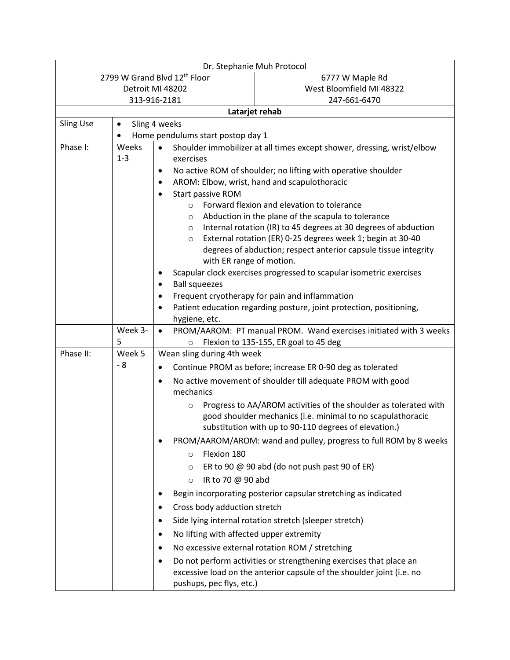| Dr. Stephanie Muh Protocol   |                                                |                                                                                     |                                                                                                                                                                                          |  |  |  |
|------------------------------|------------------------------------------------|-------------------------------------------------------------------------------------|------------------------------------------------------------------------------------------------------------------------------------------------------------------------------------------|--|--|--|
| 2799 W Grand Blvd 12th Floor |                                                |                                                                                     | 6777 W Maple Rd                                                                                                                                                                          |  |  |  |
| Detroit MI 48202             |                                                |                                                                                     | West Bloomfield MI 48322                                                                                                                                                                 |  |  |  |
| 313-916-2181                 |                                                |                                                                                     | 247-661-6470                                                                                                                                                                             |  |  |  |
| Latarjet rehab               |                                                |                                                                                     |                                                                                                                                                                                          |  |  |  |
|                              | <b>Sling Use</b><br>Sling 4 weeks<br>$\bullet$ |                                                                                     |                                                                                                                                                                                          |  |  |  |
|                              | Home pendulums start postop day 1              |                                                                                     |                                                                                                                                                                                          |  |  |  |
| Phase I:                     | Weeks                                          | $\bullet$<br>Shoulder immobilizer at all times except shower, dressing, wrist/elbow |                                                                                                                                                                                          |  |  |  |
|                              | $1 - 3$                                        | exercises                                                                           |                                                                                                                                                                                          |  |  |  |
|                              |                                                | ٠                                                                                   | No active ROM of shoulder; no lifting with operative shoulder                                                                                                                            |  |  |  |
|                              |                                                | $\bullet$                                                                           | AROM: Elbow, wrist, hand and scapulothoracic                                                                                                                                             |  |  |  |
|                              |                                                | Start passive ROM<br>$\bullet$                                                      |                                                                                                                                                                                          |  |  |  |
|                              |                                                | $\circ$                                                                             | Forward flexion and elevation to tolerance<br>Abduction in the plane of the scapula to tolerance                                                                                         |  |  |  |
|                              |                                                | $\circ$<br>$\circ$                                                                  | Internal rotation (IR) to 45 degrees at 30 degrees of abduction                                                                                                                          |  |  |  |
|                              |                                                | $\circ$                                                                             | External rotation (ER) 0-25 degrees week 1; begin at 30-40                                                                                                                               |  |  |  |
|                              |                                                |                                                                                     | degrees of abduction; respect anterior capsule tissue integrity                                                                                                                          |  |  |  |
|                              |                                                | with ER range of motion.                                                            |                                                                                                                                                                                          |  |  |  |
|                              |                                                | ٠                                                                                   | Scapular clock exercises progressed to scapular isometric exercises                                                                                                                      |  |  |  |
|                              |                                                | <b>Ball squeezes</b><br>$\bullet$                                                   |                                                                                                                                                                                          |  |  |  |
|                              |                                                | ٠                                                                                   | Frequent cryotherapy for pain and inflammation                                                                                                                                           |  |  |  |
|                              |                                                | ٠                                                                                   | Patient education regarding posture, joint protection, positioning,                                                                                                                      |  |  |  |
|                              |                                                | hygiene, etc.                                                                       |                                                                                                                                                                                          |  |  |  |
|                              | Week 3-                                        | $\bullet$                                                                           | PROM/AAROM: PT manual PROM. Wand exercises initiated with 3 weeks                                                                                                                        |  |  |  |
|                              | 5                                              | $\circ$                                                                             | Flexion to 135-155, ER goal to 45 deg                                                                                                                                                    |  |  |  |
| Phase II:                    | Week 5                                         | Wean sling during 4th week                                                          |                                                                                                                                                                                          |  |  |  |
|                              | - 8                                            | $\bullet$                                                                           | Continue PROM as before; increase ER 0-90 deg as tolerated                                                                                                                               |  |  |  |
|                              |                                                | $\bullet$                                                                           | No active movement of shoulder till adequate PROM with good                                                                                                                              |  |  |  |
|                              |                                                | mechanics                                                                           |                                                                                                                                                                                          |  |  |  |
|                              |                                                | $\circ$                                                                             | Progress to AA/AROM activities of the shoulder as tolerated with<br>good shoulder mechanics (i.e. minimal to no scapulathoracic<br>substitution with up to 90-110 degrees of elevation.) |  |  |  |
|                              |                                                |                                                                                     | PROM/AAROM/AROM: wand and pulley, progress to full ROM by 8 weeks                                                                                                                        |  |  |  |
|                              |                                                | Flexion 180<br>$\circ$                                                              |                                                                                                                                                                                          |  |  |  |
|                              |                                                | $\circ$                                                                             | ER to 90 $@$ 90 abd (do not push past 90 of ER)                                                                                                                                          |  |  |  |
|                              |                                                | IR to 70 @ 90 abd<br>$\circ$                                                        |                                                                                                                                                                                          |  |  |  |
|                              |                                                |                                                                                     | Begin incorporating posterior capsular stretching as indicated                                                                                                                           |  |  |  |
|                              |                                                | Cross body adduction stretch<br>٠                                                   |                                                                                                                                                                                          |  |  |  |
|                              |                                                |                                                                                     |                                                                                                                                                                                          |  |  |  |
|                              |                                                | $\bullet$                                                                           | Side lying internal rotation stretch (sleeper stretch)                                                                                                                                   |  |  |  |
|                              |                                                | No lifting with affected upper extremity<br>٠                                       |                                                                                                                                                                                          |  |  |  |
|                              |                                                | $\bullet$                                                                           | No excessive external rotation ROM / stretching                                                                                                                                          |  |  |  |
|                              |                                                | pushups, pec flys, etc.)                                                            | Do not perform activities or strengthening exercises that place an<br>excessive load on the anterior capsule of the shoulder joint (i.e. no                                              |  |  |  |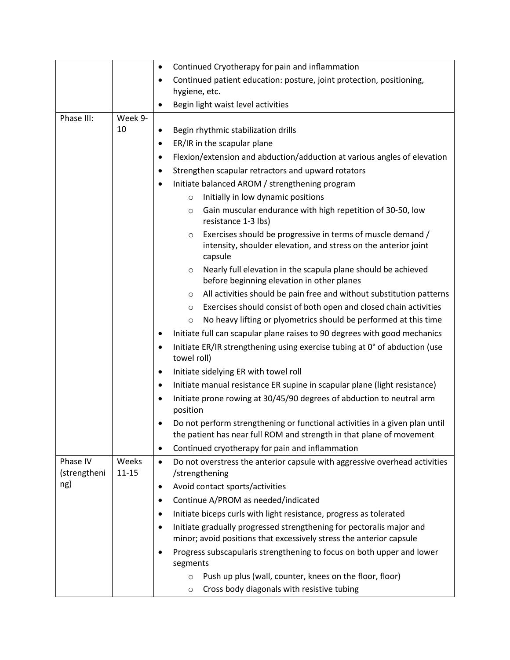|                          |                    | Continued Cryotherapy for pain and inflammation<br>$\bullet$                                                                                             |  |
|--------------------------|--------------------|----------------------------------------------------------------------------------------------------------------------------------------------------------|--|
|                          |                    | Continued patient education: posture, joint protection, positioning,                                                                                     |  |
|                          |                    | hygiene, etc.                                                                                                                                            |  |
|                          |                    | Begin light waist level activities                                                                                                                       |  |
| Phase III:               | Week 9-            |                                                                                                                                                          |  |
|                          | 10                 | Begin rhythmic stabilization drills<br>٠                                                                                                                 |  |
|                          |                    | ER/IR in the scapular plane<br>٠                                                                                                                         |  |
|                          |                    | Flexion/extension and abduction/adduction at various angles of elevation<br>٠                                                                            |  |
|                          |                    | Strengthen scapular retractors and upward rotators                                                                                                       |  |
|                          |                    | Initiate balanced AROM / strengthening program                                                                                                           |  |
|                          |                    | Initially in low dynamic positions<br>$\circ$                                                                                                            |  |
|                          |                    | Gain muscular endurance with high repetition of 30-50, low<br>$\circ$<br>resistance 1-3 lbs)                                                             |  |
|                          |                    | Exercises should be progressive in terms of muscle demand /<br>$\circ$<br>intensity, shoulder elevation, and stress on the anterior joint<br>capsule     |  |
|                          |                    | Nearly full elevation in the scapula plane should be achieved<br>$\circ$<br>before beginning elevation in other planes                                   |  |
|                          |                    | All activities should be pain free and without substitution patterns<br>$\circ$                                                                          |  |
|                          |                    | Exercises should consist of both open and closed chain activities<br>$\circ$                                                                             |  |
|                          |                    | No heavy lifting or plyometrics should be performed at this time<br>$\circ$                                                                              |  |
|                          |                    | Initiate full can scapular plane raises to 90 degrees with good mechanics                                                                                |  |
|                          |                    | Initiate ER/IR strengthening using exercise tubing at 0° of abduction (use<br>$\bullet$<br>towel roll)                                                   |  |
|                          |                    | Initiate sidelying ER with towel roll<br>$\bullet$                                                                                                       |  |
|                          |                    | Initiate manual resistance ER supine in scapular plane (light resistance)<br>$\bullet$                                                                   |  |
|                          |                    | Initiate prone rowing at 30/45/90 degrees of abduction to neutral arm<br>$\bullet$<br>position                                                           |  |
|                          |                    | Do not perform strengthening or functional activities in a given plan until<br>the patient has near full ROM and strength in that plane of movement      |  |
|                          |                    | Continued cryotherapy for pain and inflammation<br>$\bullet$                                                                                             |  |
| Phase IV<br>(strengtheni | Weeks<br>$11 - 15$ | Do not overstress the anterior capsule with aggressive overhead activities<br>$\bullet$<br>/strengthening                                                |  |
| ng)                      |                    | Avoid contact sports/activities<br>$\bullet$                                                                                                             |  |
|                          |                    | Continue A/PROM as needed/indicated<br>٠                                                                                                                 |  |
|                          |                    | Initiate biceps curls with light resistance, progress as tolerated<br>٠                                                                                  |  |
|                          |                    | Initiate gradually progressed strengthening for pectoralis major and<br>$\bullet$<br>minor; avoid positions that excessively stress the anterior capsule |  |
|                          |                    | Progress subscapularis strengthening to focus on both upper and lower<br>$\bullet$<br>segments                                                           |  |
|                          |                    | Push up plus (wall, counter, knees on the floor, floor)<br>$\circ$                                                                                       |  |
|                          |                    | Cross body diagonals with resistive tubing<br>$\circ$                                                                                                    |  |